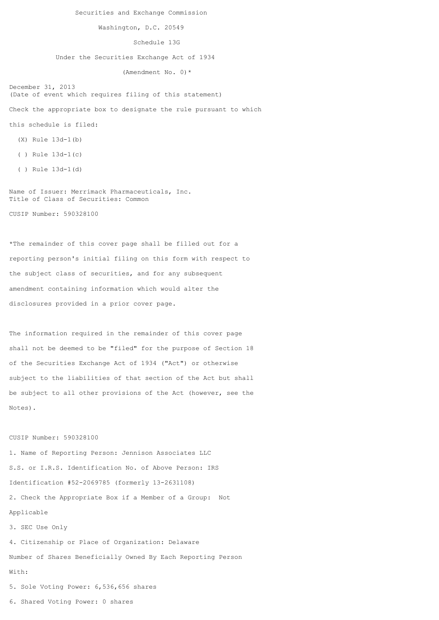Securities and Exchange Commission

Washington, D.C. 20549

Schedule 13G

Under the Securities Exchange Act of 1934

(Amendment No. 0)\*

December 31, 2013 (Date of event which requires filing of this statement)

Check the appropriate box to designate the rule pursuant to which

this schedule is filed:

- (X) Rule 13d-1(b)
- ( ) Rule 13d-1(c)
- ( ) Rule 13d-1(d)

Name of Issuer: Merrimack Pharmaceuticals, Inc. Title of Class of Securities: Common

CUSIP Number: 590328100

\*The remainder of this cover page shall be filled out for a reporting person's initial filing on this form with respect to the subject class of securities, and for any subsequent amendment containing information which would alter the disclosures provided in a prior cover page.

The information required in the remainder of this cover page shall not be deemed to be "filed" for the purpose of Section 18 of the Securities Exchange Act of 1934 ("Act") or otherwise subject to the liabilities of that section of the Act but shall be subject to all other provisions of the Act (however, see the Notes).

## CUSIP Number: 590328100

1. Name of Reporting Person: Jennison Associates LLC S.S. or I.R.S. Identification No. of Above Person: IRS Identification #52-2069785 (formerly 13-2631108) 2. Check the Appropriate Box if a Member of a Group: Not Applicable 3. SEC Use Only 4. Citizenship or Place of Organization: Delaware Number of Shares Beneficially Owned By Each Reporting Person With: 5. Sole Voting Power: 6,536,656 shares

6. Shared Voting Power: 0 shares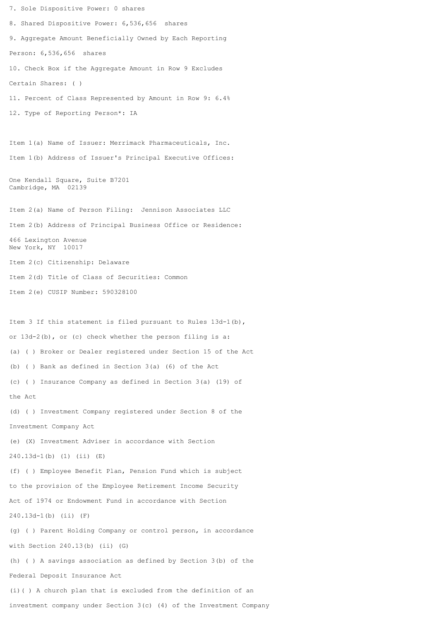7. Sole Dispositive Power: 0 shares 8. Shared Dispositive Power: 6,536,656 shares 9. Aggregate Amount Beneficially Owned by Each Reporting Person: 6,536,656 shares 10. Check Box if the Aggregate Amount in Row 9 Excludes Certain Shares: ( ) 11. Percent of Class Represented by Amount in Row 9: 6.4% 12. Type of Reporting Person\*: IA Item 1(a) Name of Issuer: Merrimack Pharmaceuticals, Inc. Item 1(b) Address of Issuer's Principal Executive Offices: One Kendall Square, Suite B7201 Cambridge, MA 02139 Item 2(a) Name of Person Filing: Jennison Associates LLC Item 2(b) Address of Principal Business Office or Residence: 466 Lexington Avenue New York, NY 10017 Item 2(c) Citizenship: Delaware Item 2(d) Title of Class of Securities: Common Item 2(e) CUSIP Number: 590328100 Item 3 If this statement is filed pursuant to Rules 13d-1(b), or 13d-2(b), or (c) check whether the person filing is a: (a) ( ) Broker or Dealer registered under Section 15 of the Act (b) ( ) Bank as defined in Section 3(a) (6) of the Act (c) ( ) Insurance Company as defined in Section 3(a) (19) of the Act (d) ( ) Investment Company registered under Section 8 of the Investment Company Act (e) (X) Investment Adviser in accordance with Section 240.13d-1(b) (1) (ii) (E) (f) ( ) Employee Benefit Plan, Pension Fund which is subject to the provision of the Employee Retirement Income Security Act of 1974 or Endowment Fund in accordance with Section 240.13d-1(b) (ii) (F) (g) ( ) Parent Holding Company or control person, in accordance with Section 240.13(b) (ii) (G) (h) ( ) A savings association as defined by Section 3(b) of the Federal Deposit Insurance Act (i)( ) A church plan that is excluded from the definition of an investment company under Section 3(c) (4) of the Investment Company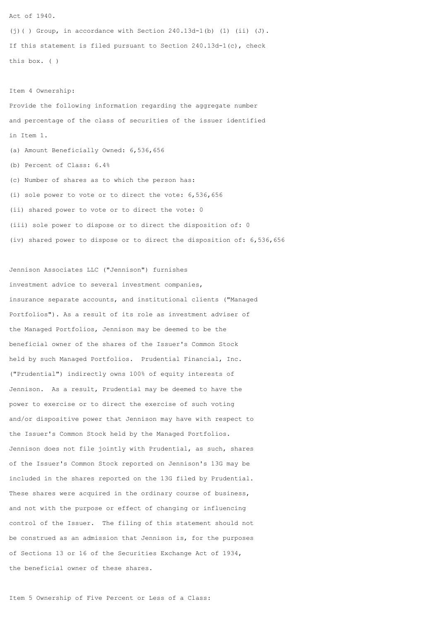Act of 1940.

(i)( ) Group, in accordance with Section  $240.13d-1(b)$  (1) (ii) (J). If this statement is filed pursuant to Section 240.13d-1(c), check this box. ( )

Item 4 Ownership:

Provide the following information regarding the aggregate number and percentage of the class of securities of the issuer identified in Item 1. (a) Amount Beneficially Owned: 6,536,656 (b) Percent of Class: 6.4% (c) Number of shares as to which the person has: (i) sole power to vote or to direct the vote: 6,536,656 (ii) shared power to vote or to direct the vote: 0 (iii) sole power to dispose or to direct the disposition of: 0 (iv) shared power to dispose or to direct the disposition of: 6,536,656

Jennison Associates LLC ("Jennison") furnishes investment advice to several investment companies, insurance separate accounts, and institutional clients ("Managed Portfolios"). As a result of its role as investment adviser of the Managed Portfolios, Jennison may be deemed to be the beneficial owner of the shares of the Issuer's Common Stock held by such Managed Portfolios. Prudential Financial, Inc. ("Prudential") indirectly owns 100% of equity interests of Jennison. As a result, Prudential may be deemed to have the power to exercise or to direct the exercise of such voting and/or dispositive power that Jennison may have with respect to the Issuer's Common Stock held by the Managed Portfolios. Jennison does not file jointly with Prudential, as such, shares of the Issuer's Common Stock reported on Jennison's 13G may be included in the shares reported on the 13G filed by Prudential. These shares were acquired in the ordinary course of business, and not with the purpose or effect of changing or influencing control of the Issuer. The filing of this statement should not be construed as an admission that Jennison is, for the purposes of Sections 13 or 16 of the Securities Exchange Act of 1934, the beneficial owner of these shares.